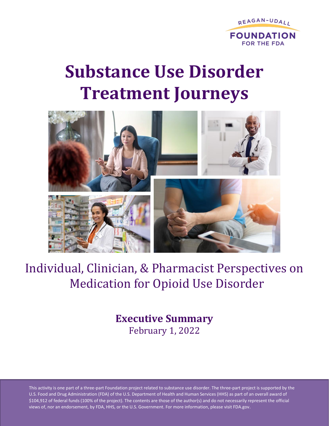

# **Substance Use Disorder Treatment Journeys**



## Individual, Clinician, & Pharmacist Perspectives on Medication for Opioid Use Disorder

## **Executive Summary** February 1, 2022

This activity is one part of a three-part Foundation project related to substance use disorder. The three-part project is supported by the U.S. Food and Drug Administration (FDA) of the U.S. Department of Health and Human Services (HHS) as part of an overall award of \$104,912 of federal funds (100% of the project). The contents are those of the author(s) and do not necessarily represent the official views of, nor an endorsement, by FDA, HHS, or the U.S. Government. For more information, please visit FDA.gov.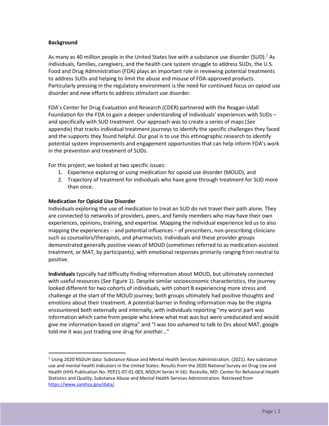#### **Background**

As many as 40 million people in the United States live with a substance use disorder (SUD).<sup>1</sup> As individuals, families, caregivers, and the health care system struggle to address SUDs, the U.S. Food and Drug Administration (FDA) plays an important role in reviewing potential treatments to address SUDs and helping to limit the abuse and misuse of FDA-approved products. Particularly pressing in the regulatory environment is the need for continued focus on opioid use disorder and new efforts to address stimulant use disorder.

FDA's Center for Drug Evaluation and Research (CDER) partnered with the Reagan-Udall Foundation for the FDA to gain a deeper understanding of individuals' experiences with SUDs – and specifically with SUD treatment. Our approach was to create a series of maps (*See* appendix) that tracks individual treatment journeys to identify the specific challenges they faced and the supports they found helpful. Our goal is to use this ethnographic research to identify potential system improvements and engagement opportunities that can help inform FDA's work in the prevention and treatment of SUDs.

For this project, we looked at two specific issues:

- 1. Experience exploring or using medication for opioid use disorder (MOUD), and
- 2. Trajectory of treatment for individuals who have gone through treatment for SUD more than once.

#### **Medication for Opioid Use Disorder**

Individuals exploring the use of medication to treat an SUD do not travel their path alone. They are connected to networks of providers, peers, and family members who may have their own experiences, opinions, training, and expertise. Mapping the individual experience led us to also mapping the experiences – and potential influences – of prescribers, non-prescribing clinicians such as counselors/therapists, and pharmacists. Individuals and these provider groups demonstrated generally positive views of MOUD (sometimes referred to as medication-assisted treatment, or MAT, by participants), with emotional responses primarily ranging from neutral to positive.

**Individuals** typically had difficulty finding information about MOUD, but ultimately connected with useful resources (*See* Figure 1). Despite similar socioeconomic characteristics, the journey looked different for two cohorts of individuals, with cohort B experiencing more stress and challenge at the start of the MOUD journey; both groups ultimately had positive thoughts and emotions about their treatment. A potential barrier in finding information may be the stigma encountered both externally and internally, with individuals reporting "my worst part was information which came from people who knew what mat was but were uneducated and would give me information based on stigma" and "I was too ashamed to talk to Drs about MAT, google told me it was just trading one drug for another…"

<sup>1</sup> Using 2020 NSDUH data: Substance Abuse and Mental Health Services Administration. (2021). Key substance use and mental health indicators in the United States: Results from the 2020 National Survey on Drug Use and Health (HHS Publication No. PEP21-07-01-003, NSDUH Series H-56). Rockville, MD: Center for Behavioral Health Statistics and Quality, Substance Abuse and Mental Health Services Administration. Retrieved from [https://www.samhsa.gov/data/.](https://www.samhsa.gov/data/)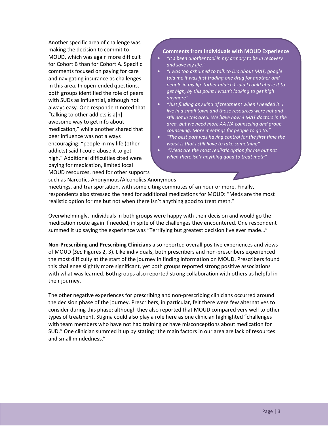Another specific area of challenge was making the decision to commit to MOUD, which was again more difficult for Cohort B than for Cohort A. Specific comments focused on paying for care and navigating insurance as challenges in this area. In open-ended questions, both groups identified the role of peers with SUDs as influential, although not always easy. One respondent noted that "talking to other addicts is a[n] awesome way to get info about medication," while another shared that peer influence was not always encouraging: "people in my life (other addicts) said I could abuse it to get high." Additional difficulties cited were paying for medication, limited local MOUD resources, need for other supports

#### **Comments from Individuals with MOUD Experience**

- *"It's been another tool in my armory to be in recovery and save my life."*
- *"I was too ashamed to talk to Drs about MAT, google told me it was just trading one drug for another and people in my life (other addicts) said I could abuse it to get high, by this point I wasn't looking to get high anymore"*
- *"Just finding any kind of treatment when I needed it. I live in a small town and those resources were not and still not in this area. We have now 4 MAT doctors in the area, but we need more AA NA counseling and group counseling. More meetings for people to go to."*
- *"The best part was having control for the first time the worst is that I still have to take something"*
- *"Meds are the most realistic option for me but not when there isn't anything good to treat meth"*

such as Narcotics Anonymous/Alcoholics Anonymous meetings, and transportation, with some citing commutes of an hour or more. Finally, respondents also stressed the need for additional medications for MOUD: "Meds are the most realistic option for me but not when there isn't anything good to treat meth."

Overwhelmingly, individuals in both groups were happy with their decision and would go the medication route again if needed, in spite of the challenges they encountered. One respondent summed it up saying the experience was "Terrifying but greatest decision I've ever made..."

**Non-Prescribing and Prescribing Clinicians** also reported overall positive experiences and views of MOUD (*See* Figures 2, 3). Like individuals, both prescribers and non-prescribers experienced the most difficulty at the start of the journey in finding information on MOUD. Prescribers found this challenge slightly more significant, yet both groups reported strong positive associations with what was learned. Both groups also reported strong collaboration with others as helpful in their journey.

The other negative experiences for prescribing and non-prescribing clinicians occurred around the decision phase of the journey. Prescribers, in particular, felt there were few alternatives to consider during this phase; although they also reported that MOUD compared very well to other types of treatment. Stigma could also play a role here as one clinician highlighted "challenges with team members who have not had training or have misconceptions about medication for SUD." One clinician summed it up by stating "the main factors in our area are lack of resources and small mindedness."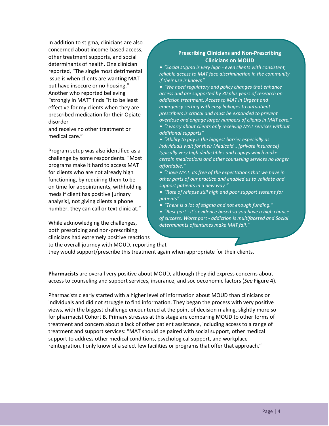In addition to stigma, clinicians are also concerned about income-based access, other treatment supports, and social determinants of health. One clinician reported, "The single most detrimental issue is when clients are wanting MAT but have insecure or no housing." Another who reported believing "strongly in MAT" finds "it to be least effective for my clients when they are prescribed medication for their Opiate disorder

and receive no other treatment or medical care."

Program setup was also identified as a challenge by some respondents. "Most programs make it hard to access MAT for clients who are not already high functioning, by requiring them to be on time for appointments, withholding meds if client has positive [urinary analysis], not giving clients a phone number, they can call or text clinic at."

While acknowledging the challenges, both prescribing and non-prescribing clinicians had extremely positive reactions to the overall journey with MOUD, reporting that

#### **Prescribing Clinicians and Non-Prescribing Clinicians on MOUD**

• *"Social stigma is very high - even clients with consistent, reliable access to MAT face discrimination in the community if their use is known"*

• *"We need regulatory and policy changes that enhance access and are supported by 30 plus years of research on addiction treatment. Access to MAT in Urgent and emergency setting with easy linkages to outpatient prescribers is critical and must be expanded to prevent overdose and engage larger numbers of clients in MAT care."*  • *"I worry about clients only receiving MAT services without additional supports"* 

• *"Ability to pay is the biggest barrier especially as individuals wait for their Medicaid… [private insurance] typically very high deductibles and copays which make certain medications and other counseling services no longer affordable."* 

• *"I love MAT. its free of the expectations that we have in other parts of our practice and enabled us to validate and support patients in a new way "*

• *"Rate of relapse still high and poor support systems for patients"*

• *"There is a lot of stigma and not enough funding."* 

• *"Best part - it's evidence based so you have a high chance of success. Worst part - addiction is multifaceted and Social determinants oftentimes make MAT fail."* 

they would support/prescribe this treatment again when appropriate for their clients.

**Pharmacists** are overall very positive about MOUD, although they did express concerns about access to counseling and support services, insurance, and socioeconomic factors (*See* Figure 4).

Pharmacists clearly started with a higher level of information about MOUD than clinicians or individuals and did not struggle to find information. They began the process with very positive views, with the biggest challenge encountered at the point of decision making, slightly more so for pharmacist Cohort B. Primary stresses at this stage are comparing MOUD to other forms of treatment and concern about a lack of other patient assistance, including access to a range of treatment and support services: "MAT should be paired with social support, other medical support to address other medical conditions, psychological support, and workplace reintegration. I only know of a select few facilities or programs that offer that approach."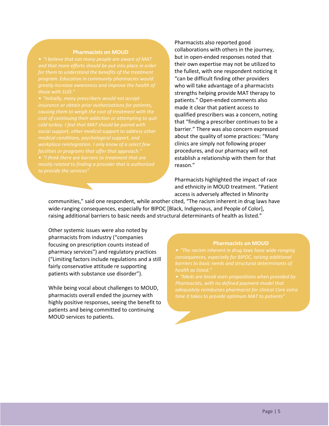#### **Pharmacists on MOUD**

*and that more efforts should be put into place in order program. Education in community pharmacies would* 

*insurance or obtain prior authorizations for patients, cold turkey. I feel that MAT should be paired with social support, other medical support to address other*  Pharmacists also reported good collaborations with others in the journey, but in open-ended responses noted that their own expertise may not be utilized to the fullest, with one respondent noticing it "can be difficult finding other providers who will take advantage of a pharmacists strengths helping provide MAT therapy to patients." Open-ended comments also made it clear that patient access to qualified prescribers was a concern, noting that "finding a prescriber continues to be a barrier." There was also concern expressed about the quality of some practices: "Many clinics are simply not following proper procedures, and our pharmacy will not establish a relationship with them for that reason."

Pharmacists highlighted the impact of race and ethnicity in MOUD treatment. "Patient access is adversely affected in Minority

communities," said one respondent, while another cited, "The racism inherent in drug laws have wide-ranging consequences, especially for BIPOC [Black, Indigenous, and People of Color], raising additional barriers to basic needs and structural determinants of health as listed."

Other systemic issues were also noted by pharmacists from industry ("companies focusing on prescription counts instead of pharmacy services") and regulatory practices ("Limiting factors include regulations and a still fairly conservative attitude re supporting patients with substance use disorder").

While being vocal about challenges to MOUD, pharmacists overall ended the journey with highly positive responses, seeing the benefit to patients and being committed to continuing MOUD services to patients.

#### **Pharmacists on MOUD**

*consequences, especially for BIPOC, raising additional* 

• *"Meds are break even propositions when provided by*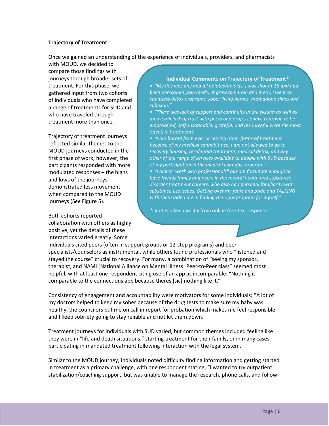#### **Trajectory of Treatment**

Once we gained an understanding of the experience of individuals, providers, and pharmacists

with MOUD, we decided to compare those findings with journeys through broader sets of treatment. For this phase, we gathered input from two cohorts of individuals who have completed a range of treatments for SUD and who have traveled through treatment more than once.

Trajectory of treatment journeys reflected similar themes to the MOUD journeys conducted in the first phase of work; however, the participants responded with more modulated responses – the highs and lows of the journeys demonstrated less movement when compared to the MOUD journeys (S*ee* Figure 5).

Both cohorts reported collaboration with others as highly positive, yet the details of these interactions varied greatly. Some

#### **Individual Comments on Trajectory of Treatment\***

• *"My doc was any and all opiates/opioids, i was shot at 16 and had been perscribed pain meds.. it grew to heroin and meth. I went to countless detox programs, sober living homes, methadone clincs and suboxon."*

• *"There was lack of support and continuity in the system as well as an overall lack of trust with peers and professionals. Learning to be empowered, self-sustainable, grateful, and resourceful were the most effective treatments."* 

• *"I am barred from ever accessing other forms of treatment because of my medical cannabis use. I am not allowed to go to recovery housing, residential treatment, medical detox, and any other of the range of services available to people with SUD because of my participation in the medical cannabis program."* 

• *"I didn't "work with professionals" but am fortunate enough to have friends family and peers in the mental health and substance disorder treatment careers, who also had personal familiarity with substance use issues. Getting over my fears and pride and TALKING with them aided me in finding the right program for myself."* 

*\**Quotes taken directly from online free-text responses.

individuals cited peers (often in support groups or 12-step programs) and peer specialists/counselors as instrumental, while others found professionals who "listened and stayed the course" crucial to recovery. For many, a combination of "seeing my sponsor, therapist, and NAMI [National Alliance on Mental Illness] Peer-to-Peer class" seemed most helpful, with at least one respondent citing use of an app as incomparable: "Nothing is comparable to the connections app because theres [sic] nothing like it."

Consistency of engagement and accountability were motivators for some individuals: "A lot of my doctors helped to keep my sober because of the drug tests to make sure my baby was healthy, the councilors put me on call in report for probation which makes me feel responsible and I keep sobriety going to stay reliable and not let them down."

Treatment journeys for individuals with SUD varied, but common themes included feeling like they were in "life and death situations," starting treatment for their family, or in many cases, participating in mandated treatment following interaction with the legal system.

Similar to the MOUD journey, individuals noted difficulty finding information and getting started in treatment as a primary challenge, with one respondent stating, "I wanted to try outpatient stabilization/coaching support, but was unable to manage the research, phone calls, and follow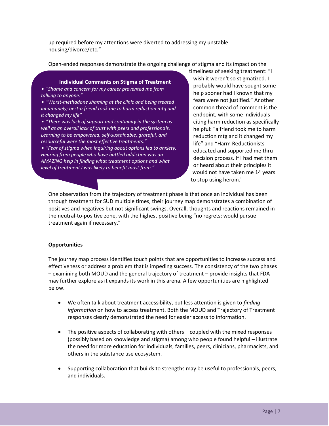up required before my attentions were diverted to addressing my unstable housing/divorce/etc."

Open-ended responses demonstrate the ongoing challenge of stigma and its impact on the

#### **Individual Comments on Stigma of Treatment**

• *"Shame and concern for my career prevented me from talking to anyone."* 

• *"Worst-methadone shaming at the clinic and being treated inhumanely; best-a friend took me to harm reduction mtg and it changed my life"* 

• *"There was lack of support and continuity in the system as well as an overall lack of trust with peers and professionals. Learning to be empowered, self-sustainable, grateful, and resourceful were the most effective treatments."* 

• *"Fear of stigma when inquiring about options led to anxiety. Hearing from people who have battled addiction was an AMAZING help in finding what treatment options and what level of treatment I was likely to benefit most from."* 

timeliness of seeking treatment: "I wish it weren't so stigmatized. I probably would have sought some help sooner had I known that my fears were not justified." Another common thread of comment is the endpoint, with some individuals citing harm reduction as specifically helpful: "a friend took me to harm reduction mtg and it changed my life" and "Harm Reductionists educated and supported me thru decision process. If I had met them or heard about their principles it would not have taken me 14 years to stop using heroin."

One observation from the trajectory of treatment phase is that once an individual has been through treatment for SUD multiple times, their journey map demonstrates a combination of positives and negatives but not significant swings. Overall, thoughts and reactions remained in the neutral-to-positive zone, with the highest positive being "no regrets; would pursue treatment again if necessary."

#### **Opportunities**

The journey map process identifies touch points that are opportunities to increase success and effectiveness or address a problem that is impeding success. The consistency of the two phases – examining both MOUD and the general trajectory of treatment – provide insights that FDA may further explore as it expands its work in this arena. A few opportunities are highlighted below.

- We often talk about treatment accessibility, but less attention is given to *finding information* on how to access treatment. Both the MOUD and Trajectory of Treatment responses clearly demonstrated the need for easier access to information.
- The positive aspects of collaborating with others coupled with the mixed responses (possibly based on knowledge and stigma) among who people found helpful – illustrate the need for more education for individuals, families, peers, clinicians, pharmacists, and others in the substance use ecosystem.
- Supporting collaboration that builds to strengths may be useful to professionals, peers, and individuals.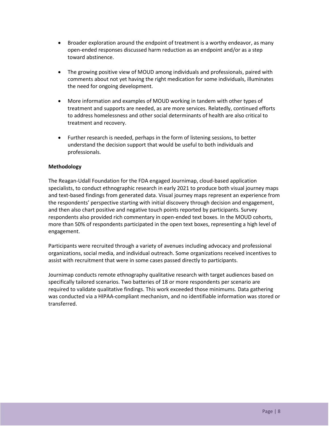- Broader exploration around the endpoint of treatment is a worthy endeavor, as many open-ended responses discussed harm reduction as an endpoint and/or as a step toward abstinence.
- The growing positive view of MOUD among individuals and professionals, paired with comments about not yet having the right medication for some individuals, illuminates the need for ongoing development.
- More information and examples of MOUD working in tandem with other types of treatment and supports are needed, as are more services. Relatedly, continued efforts to address homelessness and other social determinants of health are also critical to treatment and recovery.
- Further research is needed, perhaps in the form of listening sessions, to better understand the decision support that would be useful to both individuals and professionals.

#### **Methodology**

The Reagan-Udall Foundation for the FDA engaged Journimap, cloud-based application specialists, to conduct ethnographic research in early 2021 to produce both visual journey maps and text-based findings from generated data. Visual journey maps represent an experience from the respondents' perspective starting with initial discovery through decision and engagement, and then also chart positive and negative touch points reported by participants. Survey respondents also provided rich commentary in open-ended text boxes. In the MOUD cohorts, more than 50% of respondents participated in the open text boxes, representing a high level of engagement.

Participants were recruited through a variety of avenues including advocacy and professional organizations, social media, and individual outreach. Some organizations received incentives to assist with recruitment that were in some cases passed directly to participants.

Journimap conducts remote ethnography qualitative research with target audiences based on specifically tailored scenarios. Two batteries of 18 or more respondents per scenario are required to validate qualitative findings. This work exceeded those minimums. Data gathering was conducted via a HIPAA-compliant mechanism, and no identifiable information was stored or transferred.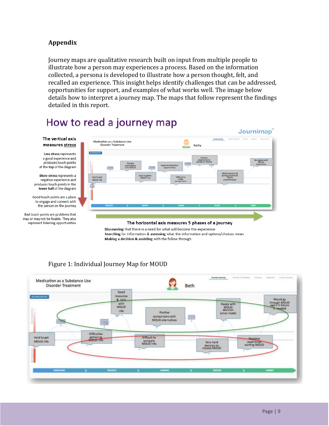#### **Appendix**

Journey maps are qualitative research built on input from multiple people to illustrate how a person may experiences a process. Based on the information collected, a persona is developed to illustrate how a person thought, felt, and recalled an experience. This insight helps identify challenges that can be addressed, opportunities for support, and examples of what works well. The image below details how to interpret a journey map. The maps that follow represent the findings detailed in this report.

## How to read a journey map



Discovering that there is a need for what will become the experience Searching for information & assessing what the information and options/choices mean Making a decision & assisting with the follow through



#### Figure 1: Individual Journey Map for MOUD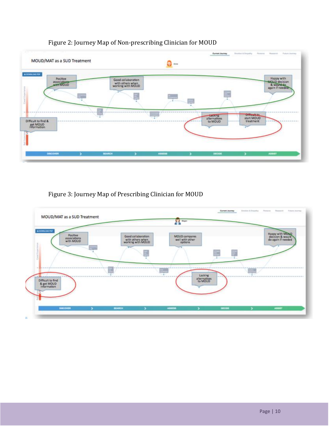

#### Figure 2: Journey Map of Non-prescribing Clinician for MOUD

#### Figure 3: Journey Map of Prescribing Clinician for MOUD